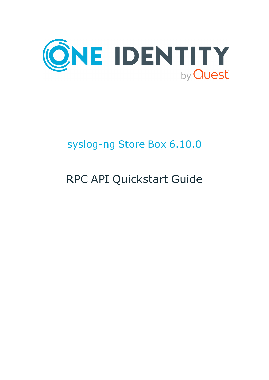

## syslog-ng Store Box 6.10.0

# RPC API Quickstart Guide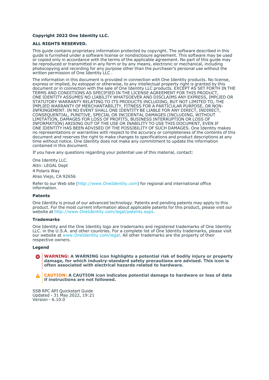#### **Copyright 2022 One Identity LLC.**

#### **ALL RIGHTS RESERVED.**

This guide contains proprietary information protected by copyright. The software described in this guide is furnished under a software license or nondisclosure agreement. This software may be used or copied only in accordance with the terms of the applicable agreement. No part of this guide may be reproduced or transmitted in any form or by any means, electronic or mechanical, including photocopying and recording for any purpose other than the purchaser's personal use without the written permission of One Identity LLC .

The information in this document is provided in connection with One Identity products. No license, express or implied, by estoppel or otherwise, to any intellectual property right is granted by this document or in connection with the sale of One Identity LLC products. EXCEPT AS SET FORTH IN THE TERMS AND CONDITIONS AS SPECIFIED IN THE LICENSE AGREEMENT FOR THIS PRODUCT, ONE IDENTITY ASSUMES NO LIABILITY WHATSOEVER AND DISCLAIMS ANY EXPRESS, IMPLIED OR STATUTORY WARRANTY RELATING TO ITS PRODUCTS INCLUDING, BUT NOT LIMITED TO, THE IMPLIED WARRANTY OF MERCHANTABILITY, FITNESS FOR A PARTICULAR PURPOSE, OR NON-INFRINGEMENT. IN NO EVENT SHALL ONE IDENTITY BE LIABLE FOR ANY DIRECT, INDIRECT, CONSEQUENTIAL, PUNITIVE, SPECIAL OR INCIDENTAL DAMAGES (INCLUDING, WITHOUT LIMITATION, DAMAGES FOR LOSS OF PROFITS, BUSINESS INTERRUPTION OR LOSS OF INFORMATION) ARISING OUT OF THE USE OR INABILITY TO USE THIS DOCUMENT, EVEN IF ONE IDENTITY HAS BEEN ADVISED OF THE POSSIBILITY OF SUCH DAMAGES. One Identity makes no representations or warranties with respect to the accuracy or completeness of the contents of this document and reserves the right to make changes to specifications and product descriptions at any time without notice. One Identity does not make any commitment to update the information contained in this document.

If you have any questions regarding your potential use of this material, contact:

One Identity LLC. Attn: LEGAL Dept 4 Polaris Way Aliso Viejo, CA 92656

Refer to our Web site [\(http://www.OneIdentity.com](http://www.oneidentity.com/)) for regional and international office information.

#### **Patents**

One Identity is proud of our advanced technology. Patents and pending patents may apply to this product. For the most current information about applicable patents for this product, please visit our website at [http://www.OneIdentity.com/legal/patents.aspx.](http://www.oneidentity.com/legal/patents.aspx)

#### **Trademarks**

One Identity and the One Identity logo are trademarks and registered trademarks of One Identity LLC. in the U.S.A. and other countries. For a complete list of One Identity trademarks, please visit our website at [www.OneIdentity.com/legal](http://www.oneidentity.com/legal). All other trademarks are the property of their respective owners.

#### **Legend**

**WARNING: A WARNING icon highlights a potential risk of bodily injury or property** œ **damage, for which industry-standard safety precautions are advised. This icon is often associated with electrical hazards related to hardware.**

**CAUTION: A CAUTION icon indicates potential damage to hardware or loss of data if instructions are not followed.**

SSB RPC API Quickstart Guide Updated - 31 May 2022, 19:21 Version - 6.10.0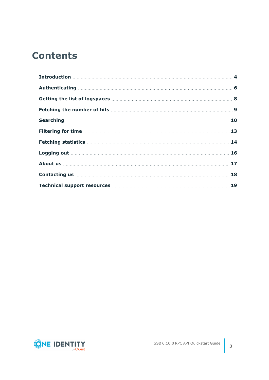### **Contents**

| Introduction <b>Material Constitution</b> 4                                                                                                                                                                                                                                                    |  |
|------------------------------------------------------------------------------------------------------------------------------------------------------------------------------------------------------------------------------------------------------------------------------------------------|--|
|                                                                                                                                                                                                                                                                                                |  |
| Getting the list of logspaces [111] Getting the list of logspaces [111] Communications and the list of logspaces                                                                                                                                                                               |  |
|                                                                                                                                                                                                                                                                                                |  |
|                                                                                                                                                                                                                                                                                                |  |
|                                                                                                                                                                                                                                                                                                |  |
| Fetching statistics <b>Material Contract Contract 14</b>                                                                                                                                                                                                                                       |  |
|                                                                                                                                                                                                                                                                                                |  |
|                                                                                                                                                                                                                                                                                                |  |
| Contacting us <b>contacting</b> us <b>contacting</b> us <b>contacting</b> us <b>contacting</b> us <b>contacting</b> us <b>contacting</b> us <b>contacting</b> us <b>contacting</b> us <b>contacting</b> us <b>contacting</b> us <b>contacting</b> us <b>contacting</b> us <b>contacting</b> us |  |
| Technical support resources <b>Manual</b> Support 19                                                                                                                                                                                                                                           |  |

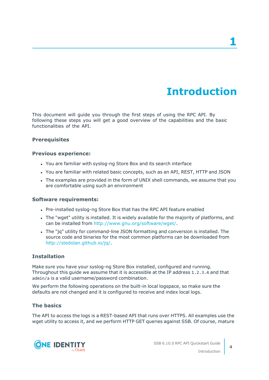### **Introduction**

<span id="page-3-0"></span>This document will guide you through the first steps of using the RPC API. By following these steps you will get a good overview of the capabilities and the basic functionalities of the API.

### **Prerequisites**

#### **Previous experience:**

- You are familiar with syslog-ng Store Box and its search interface
- You are familiar with related basic concepts, such as an API, REST, HTTP and JSON
- The examples are provided in the form of UNIX shell commands, we assume that you are comfortable using such an environment

### **Software requirements:**

- Pre-installed syslog-ng Store Box that has the RPC API feature enabled
- The "wget" utility is installed. It is widely available for the majority of platforms, and can be installed from [http://www.gnu.org/software/wget/.](http://www.gnu.org/software/wget/)
- The "jq" utility for command-line JSON formatting and conversion is installed. The source code and binaries for the most common platforms can be downloaded from <http://stedolan.github.io/jq/>.

### **Installation**

Make sure you have your syslog-ng Store Box installed, configured and running. Throughout this guide we assume that it is accessible at the IP address 1.2.3.4 and that admin/a is a valid username/password combination.

We perform the following operations on the built-in local logspace, so make sure the defaults are not changed and it is configured to receive and index local logs.

### **The basics**

The API to access the logs is a REST-based API that runs over HTTPS. All examples use the wget utility to access it, and we perform HTTP GET queries against SSB. Of course, mature

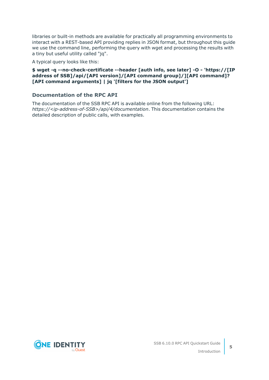libraries or built-in methods are available for practically all programming environments to interact with a REST-based API providing replies in JSON format, but throughout this guide we use the command line, performing the query with wget and processing the results with a tiny but useful utility called "jq".

A typical query looks like this:

### **\$ wget -q --no-check-certificate --header [auth info, see later] -O - 'https://[IP address of SSB]/api/[API version]/[API command group]/][API command]? [API command arguments] | jq '[filters for the JSON output']**

### **Documentation of the RPC API**

The documentation of the SSB RPC API is available online from the following URL: *https://<ip-address-of-SSB>/api/4/documentation*. This documentation contains the detailed description of public calls, with examples.

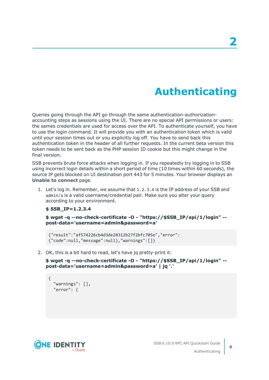### **Authenticating**

<span id="page-5-0"></span>Queries going through the API go through the same authentication-authorizationaccounting steps as sessions using the UI. There are no special API permissions or users: the sames credentials are used for access over the API. To authenticate yourself, you have to use the login command. It will provide you with an authentication token which is valid until your session times out or you explicitly log off. You have to send back this authentication token in the header of all further requests. In the current beta version this token needs to be sent back as the PHP session ID cookie but this might change in the final version.

SSB prevents brute force attacks when logging in. If you repeatedly try logging in to SSB using incorrect login details within a short period of time (10 times within 60 seconds), the source IP gets blocked on UI destination port 443 for 5 minutes. Your browser displays an **Unable to connect** page.

1. Let's log in. Remember, we assume that 1.2.3.4 is the IP address of your SSB and admin/a is a valid username/credential pair. Make sure you alter your query according to your environment.

```
$ SSB_IP=1.2.3.4
```
**\$ wget -q --no-check-certificate -O - "https://\$SSB\_IP/api/1/login" - post-data='username=admin&password=a'**

```
{"result":"af574226cb4d3de28312b27f2bfc705e","error":
{"code":null,"message":null},"warnings":[]}
```
2. OK, this is a bit hard to read, let's have jq pretty-print it:

**\$ wget -q --no-check-certificate -O - "https://\$SSB\_IP/api/1/login" - post-data='username=admin&password=a' | jq '.'**

```
{
  "warnings": [],
 "error": {
```
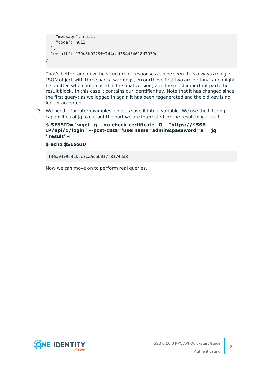```
"message": null,
    "code": null
 },
 "result": "39d5b0229ff744cdd384d54618d7039c"
}
```
That's better, and now the structure of responses can be seen. It is always a single JSON object with three parts: warnings, error (these first two are optional and might be omitted when not in used in the final version) and the most important part, the result block. In this case it contains our identifier key. Note that it has changed since the first query: as we logged in again it has been regenerated and the old key is no longer accepted.

3. We need it for later examples, so let's save it into a variable. We use the filtering capabilities of jq to cut out the part we are interested in: the result block itself.

```
$ SESSID=`wget -q --no-check-certificate -O - "https://$SSB_
IP/api/1/login" --post-data='username=admin&password=a' | jq
'.result' -r`
```
#### **\$ echo \$SESSID**

f36a9399c3cbcc3ca5dab037f8374dd8

Now we can move on to perform real queries.

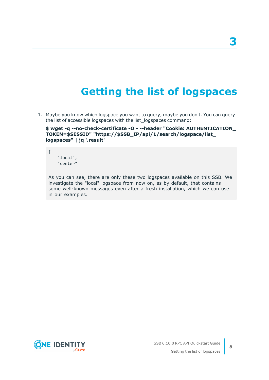### **Getting the list of logspaces**

<span id="page-7-0"></span>1. Maybe you know which logspace you want to query, maybe you don't. You can query the list of accessible logspaces with the list\_logspaces command:

**\$ wget -q --no-check-certificate -O - --header "Cookie: AUTHENTICATION\_ TOKEN=\$SESSID" "https://\$SSB\_IP/api/1/search/logspace/list\_ logspaces" | jq '.result'**

"local", "center"

 $\overline{[}$ 

As you can see, there are only these two logspaces available on this SSB. We investigate the "local" logspace from now on, as by default, that contains some well-known messages even after a fresh installation, which we can use in our examples.

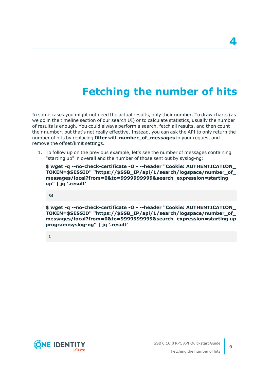## **Fetching the number of hits**

<span id="page-8-0"></span>In some cases you might not need the actual results, only their number. To draw charts (as we do in the timeline section of our search UI) or to calculate statistics, usually the number of results is enough. You could always perform a search, fetch all results, and then count their number, but that's not really effective. Instead, you can ask the API to only return the number of hits by replacing **filter** with **number\_of\_messages** in your request and remove the offset/limit settings.

1. To follow up on the previous example, let's see the number of messages containing "starting up" in overall and the number of those sent out by syslog-ng:

**\$ wget -q --no-check-certificate -O - --header "Cookie: AUTHENTICATION\_ TOKEN=\$SESSID" "https://\$SSB\_IP/api/1/search/logspace/number\_of\_ messages/local?from=0&to=9999999999&search\_expression=starting up" | jq '.result'**

84

**\$ wget -q --no-check-certificate -O - --header "Cookie: AUTHENTICATION\_ TOKEN=\$SESSID" "https://\$SSB\_IP/api/1/search/logspace/number\_of\_ messages/local?from=0&to=9999999999&search\_expression=starting up program:syslog-ng" | jq '.result'**

1

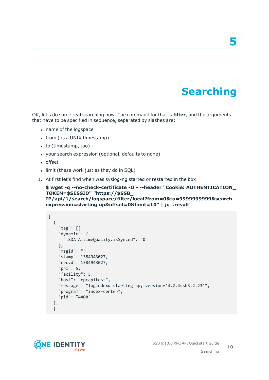### **Searching**

**5**

<span id="page-9-0"></span>OK, let's do some real searching now. The command for that is **filter**, and the arguments that have to be specified in sequence, separated by slashes are:

- name of the logspace
- $\bullet$  from (as a UNIX timestamp)
- $\bullet$  to (timestamp, too)
- your search expression (optional, defaults to none)
- offset
- limit (these work just as they do in SQL)
- 1. At first let's find when was syslog-ng started or restarted in the box:

```
$ wget -q --no-check-certificate -O - --header "Cookie: AUTHENTICATION_
TOKEN=$SESSID" "https://$SSB_
IP/api/1/search/logspace/filter/local?from=0&to=9999999999&search_
expression=starting up&offset=0&limit=10" | jq '.result'
```

```
\overline{[}{
    "tag": [],
    "dynamic": {
      ".SDATA.timeQuality.isSynced": "0"
    },
    "msgid": "",
    "stamp": 1384943027,
    "recvd": 1384943027,
    "pri": 5,
    "facility": 5,
    "host": "rpcapitest",
    "message": "logindexd starting up; version='4.2.4ssb3.2.23'",
    "program": "index-center",
    "pid": "4408"
 },
  {
```
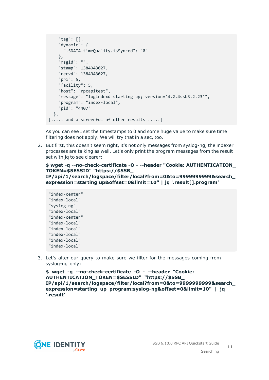```
"tag": [],
    "dynamic": {
      ".SDATA.timeQuality.isSynced": "0"
    },
    "msgid": "",
    "stamp": 1384943027,
    "recvd": 1384943027,
    "pri": 5,
    "facility": 5,
    "host": "rpcapitest",
    "message": "logindexd starting up; version='4.2.4ssb3.2.23'",
    "program": "index-local",
    "pid": "4407"
 },
[..... and a screenful of other results .....]
```
As you can see I set the timestamps to 0 and some huge value to make sure time filtering does not apply. We will try that in a sec, too.

2. But first, this doesn't seem right, it's not only messages from syslog-ng, the indexer processes are talking as well. Let's only print the program messages from the result set with jq to see clearer:

### **\$ wget -q --no-check-certificate -O - --header "Cookie: AUTHENTICATION\_ TOKEN=\$SESSID" "https://\$SSB\_**

**IP/api/1/search/logspace/filter/local?from=0&to=9999999999&search\_ expression=starting up&offset=0&limit=10" | jq '.result[].program'**

```
"index-center"
"index-local"
"syslog-ng"
"index-local"
"index-center"
"index-local"
"index-local"
"index-local"
"index-local"
"index-local"
```
3. Let's alter our query to make sure we filter for the messages coming from syslog-ng only:

```
$ wget -q --no-check-certificate -O - --header "Cookie:
AUTHENTICATION_TOKEN=$SESSID" "https://$SSB_
IP/api/1/search/logspace/filter/local?from=0&to=9999999999&search_
expression=starting up program:syslog-ng&offset=0&limit=10" | jq
'.result'
```
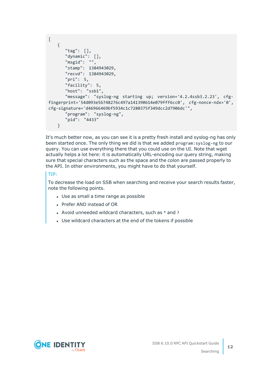```
\lceil{
      "tag": [],
      "dynamic": [],
      "msgid": "",
      "stamp": 1384943029,
      "recvd": 1384943029,
      "pri": 5,
      "facility": 5,
      "host": "ssb1",
      "message": "syslog-ng starting up; version='4.2.4ssb3.2.23', cfg-
fingerprint='54d093e5b748276c497a141390614e079fff6cc0', cfg-nonce-ndx='0',
cfg-signature='d46966469bf5934c1c7280375f349dcc2d7906dc'",
      "program": "syslog-ng",
      "pid": "4433"
   }
```
It's much better now, as you can see it is a pretty fresh install and syslog-ng has only been started once. The only thing we did is that we added program:syslog-ng to our query. You can use everything there that you could use on the UI. Note that wget actually helps a lot here: it is automatically URL-encoding our query string, making sure that special characters such as the space and the colon are passed properly to the API. In other environments, you might have to do that yourself.

### TIP:

To decrease the load on SSB when searching and receive your search results faster, note the following points.

- Use as small a time range as possible
- Prefer AND instead of OR
- Avoid unneeded wildcard characters, such as  $*$  and ?
- Use wildcard characters at the end of the tokens if possible

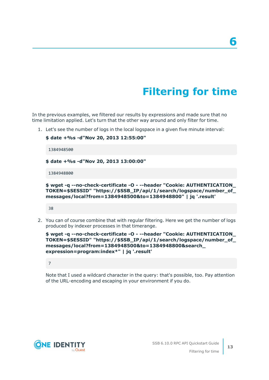## **Filtering for time**

<span id="page-12-0"></span>In the previous examples, we filtered our results by expressions and made sure that no time limitation applied. Let's turn that the other way around and only filter for time.

1. Let's see the number of logs in the local logspace in a given five minute interval:

```
$ date +%s -d"Nov 20, 2013 12:55:00"
 1384948500
$ date +%s -d"Nov 20, 2013 13:00:00"
1384948800
```
**\$ wget -q --no-check-certificate -O - --header "Cookie: AUTHENTICATION\_ TOKEN=\$SESSID" "https://\$SSB\_IP/api/1/search/logspace/number\_of\_ messages/local?from=1384948500&to=1384948800" | jq '.result'**

38

2. You can of course combine that with regular filtering. Here we get the number of logs produced by indexer processes in that timerange.

```
$ wget -q --no-check-certificate -O - --header "Cookie: AUTHENTICATION_
TOKEN=$SESSID" "https://$SSB_IP/api/1/search/logspace/number_of_
messages/local?from=1384948500&to=1384948800&search_
expression=program:index*" | jq '.result'
```
7

Note that I used a wildcard character in the query: that's possible, too. Pay attention of the URL-encoding and escaping in your environment if you do.

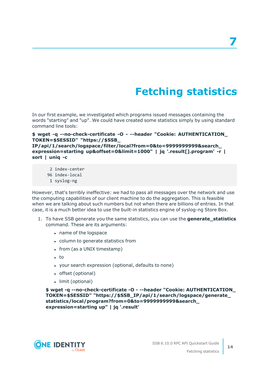## **Fetching statistics**

<span id="page-13-0"></span>In our first example, we investigated which programs issued messages containing the words "starting" and "up". We could have created some statistics simply by using standard command line tools:

#### **\$ wget -q --no-check-certificate -O - --header "Cookie: AUTHENTICATION\_ TOKEN=\$SESSID" "https://\$SSB\_**

**IP/api/1/search/logspace/filter/local?from=0&to=9999999999&search\_ expression=starting up&offset=0&limit=1000" | jq '.result[].program' -r | sort | uniq -c**

- 2 index-center
- 96 index-local
- 1 syslog-ng

However, that's terribly ineffective: we had to pass all messages over the network and use the computing capabilities of our client machine to do the aggregation. This is feasible when we are talking about such numbers but not when there are billions of entries. In that case, it is a much better idea to use the built-in statistics engine of syslog-ng Store Box.

- 1. To have SSB generate you the same statistics, you can use the **generate\_statistics** command. These are its arguments:
	- name of the logspace
	- column to generate statistics from
	- from (as a UNIX timestamp)
	- $\cdot$  to
	- your search expression (optional, defaults to none)
	- offset (optional)
	- limit (optional)

**\$ wget -q --no-check-certificate -O - --header "Cookie: AUTHENTICATION\_ TOKEN=\$SESSID" "https://\$SSB\_IP/api/1/search/logspace/generate\_ statistics/local/program?from=0&to=9999999999&search\_ expression=starting up" | jq '.result'**

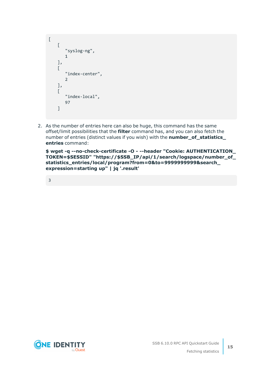```
\Gamma\left[ \right]"syslog-ng",
         1
     ],
     \sqrt{ }"index-center",
          2
     ],
     \lceil"index-local",
         97
     ]
```
2. As the number of entries here can also be huge, this command has the same offset/limit possibilities that the **filter** command has, and you can also fetch the number of entries (distinct values if you wish) with the **number\_of\_statistics\_ entries** command:

**\$ wget -q --no-check-certificate -O - --header "Cookie: AUTHENTICATION\_ TOKEN=\$SESSID" "https://\$SSB\_IP/api/1/search/logspace/number\_of\_ statistics\_entries/local/program?from=0&to=9999999999&search\_ expression=starting up" | jq '.result'**

3

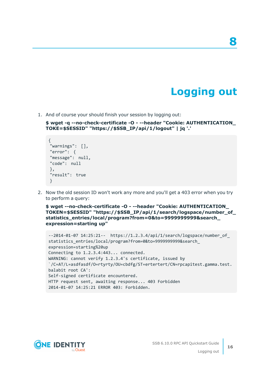### **Logging out**

**8**

<span id="page-15-0"></span>1. And of course your should finish your session by logging out:

**\$ wget -q --no-check-certificate -O - --header "Cookie: AUTHENTICATION\_ TOKE=\$SESSID" "https://\$SSB\_IP/api/1/logout" | jq '.'**

```
{
"warnings": [],
"error": {
"message": null,
"code": null
},
"result": true
}
```
2. Now the old session ID won't work any more and you'll get a 403 error when you try to perform a query:

**\$ wget --no-check-certificate -O - --header "Cookie: AUTHENTICATION\_ TOKEN=\$SESSID" "https://\$SSB\_IP/api/1/search/logspace/number\_of\_ statistics\_entries/local/program?from=0&to=9999999999&search\_ expression=starting up"**

```
--2014-01-07 14:25:21-- https://1.2.3.4/api/1/search/logspace/number_of_
statistics_entries/local/program?from=0&to=9999999999&search_
expression=starting%20up
Connecting to 1.2.3.4:443... connected.
WARNING: cannot verify 1.2.3.4's certificate, issued by
`/C=AT/L=asdfasdf/O=rtyrty/OU=cbdfg/ST=ertertert/CN=rpcapitest.gamma.test.
balabit root CA':
Self-signed certificate encountered.
HTTP request sent, awaiting response... 403 Forbidden
2014-01-07 14:25:21 ERROR 403: Forbidden.
```
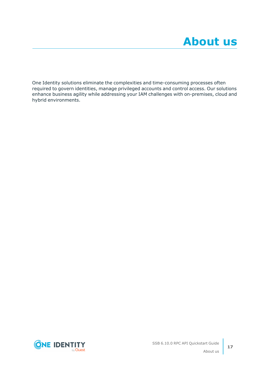<span id="page-16-0"></span>One Identity solutions eliminate the complexities and time-consuming processes often required to govern identities, manage privileged accounts and control access. Our solutions enhance business agility while addressing your IAM challenges with on-premises, cloud and hybrid environments.

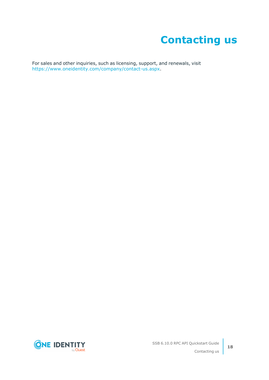## **Contacting us**

<span id="page-17-0"></span>For sales and other inquiries, such as licensing, support, and renewals, visit [https://www.oneidentity.com/company/contact-us.aspx.](https://www.oneidentity.com/company/contact-us.aspx)

**ONE IDENTITY** by **Quest**